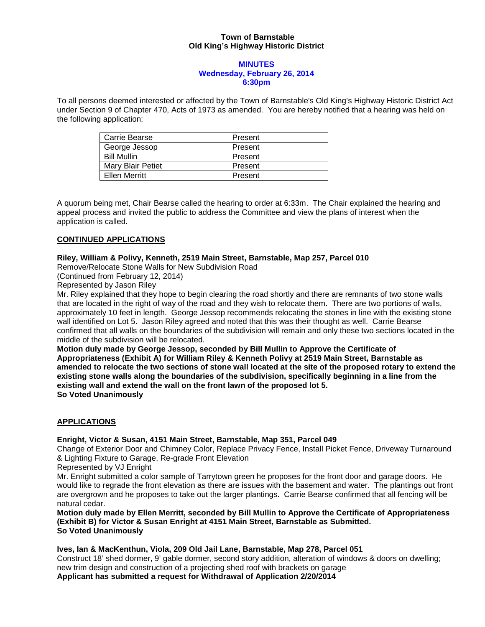### **Town of Barnstable Old King's Highway Historic District**

#### **MINUTES Wednesday, February 26, 2014 6:30pm**

To all persons deemed interested or affected by the Town of Barnstable's Old King's Highway Historic District Act under Section 9 of Chapter 470, Acts of 1973 as amended. You are hereby notified that a hearing was held on the following application:

| Carrie Bearse      | Present |
|--------------------|---------|
| George Jessop      | Present |
| <b>Bill Mullin</b> | Present |
| Mary Blair Petiet  | Present |
| Ellen Merritt      | Present |

A quorum being met, Chair Bearse called the hearing to order at 6:33m. The Chair explained the hearing and appeal process and invited the public to address the Committee and view the plans of interest when the application is called.

# **CONTINUED APPLICATIONS**

### **Riley, William & Polivy, Kenneth, 2519 Main Street, Barnstable, Map 257, Parcel 010**

Remove/Relocate Stone Walls for New Subdivision Road

(Continued from February 12, 2014)

Represented by Jason Riley

Mr. Riley explained that they hope to begin clearing the road shortly and there are remnants of two stone walls that are located in the right of way of the road and they wish to relocate them. There are two portions of walls, approximately 10 feet in length. George Jessop recommends relocating the stones in line with the existing stone wall identified on Lot 5. Jason Riley agreed and noted that this was their thought as well. Carrie Bearse confirmed that all walls on the boundaries of the subdivision will remain and only these two sections located in the middle of the subdivision will be relocated.

**Motion duly made by George Jessop, seconded by Bill Mullin to Approve the Certificate of Appropriateness (Exhibit A) for William Riley & Kenneth Polivy at 2519 Main Street, Barnstable as amended to relocate the two sections of stone wall located at the site of the proposed rotary to extend the existing stone walls along the boundaries of the subdivision, specifically beginning in a line from the existing wall and extend the wall on the front lawn of the proposed lot 5. So Voted Unanimously**

# **APPLICATIONS**

### **Enright, Victor & Susan, 4151 Main Street, Barnstable, Map 351, Parcel 049**

Change of Exterior Door and Chimney Color, Replace Privacy Fence, Install Picket Fence, Driveway Turnaround & Lighting Fixture to Garage, Re-grade Front Elevation

Represented by VJ Enright

Mr. Enright submitted a color sample of Tarrytown green he proposes for the front door and garage doors. He would like to regrade the front elevation as there are issues with the basement and water. The plantings out front are overgrown and he proposes to take out the larger plantings. Carrie Bearse confirmed that all fencing will be natural cedar.

**Motion duly made by Ellen Merritt, seconded by Bill Mullin to Approve the Certificate of Appropriateness (Exhibit B) for Victor & Susan Enright at 4151 Main Street, Barnstable as Submitted. So Voted Unanimously**

### **Ives, Ian & MacKenthun, Viola, 209 Old Jail Lane, Barnstable, Map 278, Parcel 051**

Construct 18' shed dormer, 9' gable dormer, second story addition, alteration of windows & doors on dwelling; new trim design and construction of a projecting shed roof with brackets on garage **Applicant has submitted a request for Withdrawal of Application 2/20/2014**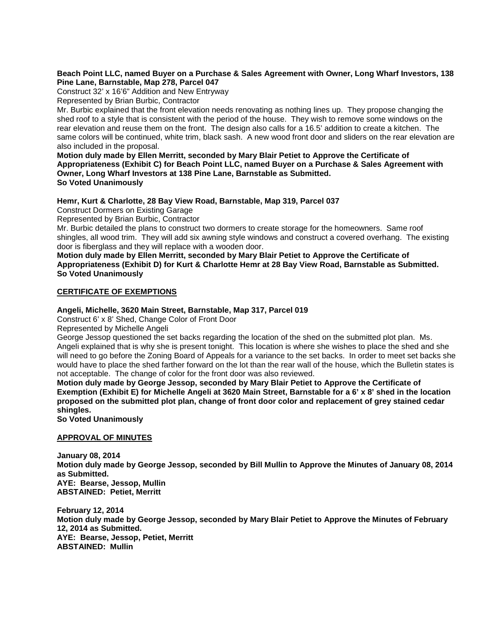### **Beach Point LLC, named Buyer on a Purchase & Sales Agreement with Owner, Long Wharf Investors, 138 Pine Lane, Barnstable, Map 278, Parcel 047**

Construct 32' x 16'6" Addition and New Entryway Represented by Brian Burbic, Contractor

Mr. Burbic explained that the front elevation needs renovating as nothing lines up. They propose changing the shed roof to a style that is consistent with the period of the house. They wish to remove some windows on the rear elevation and reuse them on the front. The design also calls for a 16.5' addition to create a kitchen. The same colors will be continued, white trim, black sash. A new wood front door and sliders on the rear elevation are also included in the proposal.

**Motion duly made by Ellen Merritt, seconded by Mary Blair Petiet to Approve the Certificate of Appropriateness (Exhibit C) for Beach Point LLC, named Buyer on a Purchase & Sales Agreement with Owner, Long Wharf Investors at 138 Pine Lane, Barnstable as Submitted. So Voted Unanimously**

**Hemr, Kurt & Charlotte, 28 Bay View Road, Barnstable, Map 319, Parcel 037**

Construct Dormers on Existing Garage

Represented by Brian Burbic, Contractor

Mr. Burbic detailed the plans to construct two dormers to create storage for the homeowners. Same roof shingles, all wood trim. They will add six awning style windows and construct a covered overhang. The existing door is fiberglass and they will replace with a wooden door.

**Motion duly made by Ellen Merritt, seconded by Mary Blair Petiet to Approve the Certificate of Appropriateness (Exhibit D) for Kurt & Charlotte Hemr at 28 Bay View Road, Barnstable as Submitted. So Voted Unanimously**

# **CERTIFICATE OF EXEMPTIONS**

### **Angeli, Michelle, 3620 Main Street, Barnstable, Map 317, Parcel 019**

Construct 6' x 8' Shed, Change Color of Front Door

Represented by Michelle Angeli

George Jessop questioned the set backs regarding the location of the shed on the submitted plot plan. Ms. Angeli explained that is why she is present tonight. This location is where she wishes to place the shed and she will need to go before the Zoning Board of Appeals for a variance to the set backs. In order to meet set backs she would have to place the shed farther forward on the lot than the rear wall of the house, which the Bulletin states is not acceptable. The change of color for the front door was also reviewed.

**Motion duly made by George Jessop, seconded by Mary Blair Petiet to Approve the Certificate of Exemption (Exhibit E) for Michelle Angeli at 3620 Main Street, Barnstable for a 6' x 8' shed in the location proposed on the submitted plot plan, change of front door color and replacement of grey stained cedar shingles.**

**So Voted Unanimously**

### **APPROVAL OF MINUTES**

**January 08, 2014 Motion duly made by George Jessop, seconded by Bill Mullin to Approve the Minutes of January 08, 2014 as Submitted. AYE: Bearse, Jessop, Mullin ABSTAINED: Petiet, Merritt**

**February 12, 2014 Motion duly made by George Jessop, seconded by Mary Blair Petiet to Approve the Minutes of February 12, 2014 as Submitted. AYE: Bearse, Jessop, Petiet, Merritt ABSTAINED: Mullin**